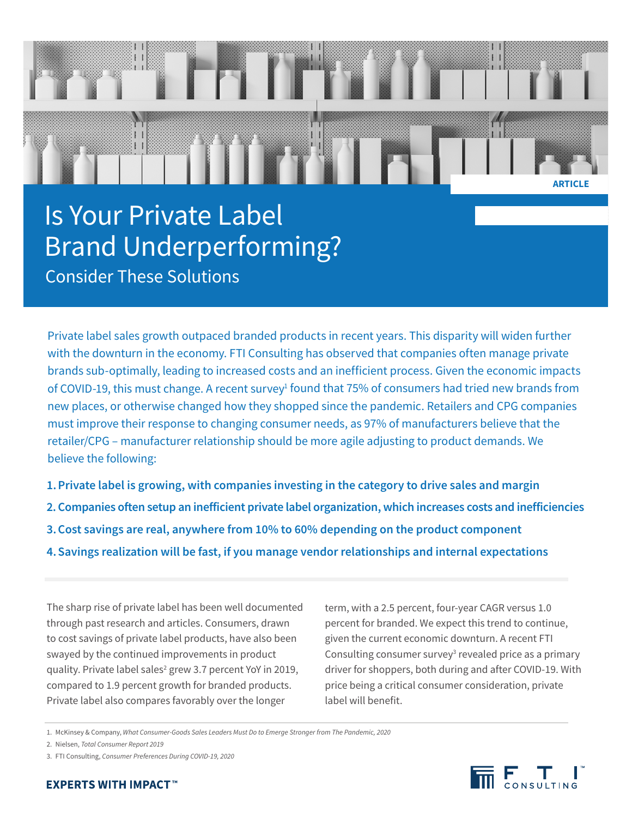# Is Your Private Label Brand Underperforming? Consider These Solutions

Private label sales growth outpaced branded products in recent years. This disparity will widen further with the downturn in the economy. FTI Consulting has observed that companies often manage private brands sub-optimally, leading to increased costs and an inefficient process. Given the economic impacts of COVID-19, this must change. A recent survey<sup>1</sup> found that 75% of consumers had tried new brands from new places, or otherwise changed how they shopped since the pandemic. Retailers and CPG companies must improve their response to changing consumer needs, as 97% of manufacturers believe that the retailer/CPG – manufacturer relationship should be more agile adjusting to product demands. We believe the following:

- **1.Private label is growing, with companies investing in the category to drive sales and margin**
- **2. Companies often setup an inefficient private label organization, which increases costs and inefficiencies**
- **3.Cost savings are real, anywhere from 10% to 60% depending on the product component**
- **4.Savings realization will be fast, if you manage vendor relationships and internal expectations**

The sharp rise of private label has been well documented through past research and articles. Consumers, drawn to cost savings of private label products, have also been swayed by the continued improvements in product quality. Private label sales<sup>2</sup> grew 3.7 percent YoY in 2019, compared to 1.9 percent growth for branded products. Private label also compares favorably over the longer

term, with a 2.5 percent, four-year CAGR versus 1.0 percent for branded. We expect this trend to continue, given the current economic downturn. A recent FTI Consulting consumer survey<sup>3</sup> revealed price as a primary driver for shoppers, both during and after COVID-19. With price being a critical consumer consideration, private label will benefit.

- 2. Nielsen, *Total Consumer Report 2019*
- 3. FTI Consulting, *Consumer Preferences During COVID-19, 2020*

**ARTICLE**

<sup>1.</sup> McKinsey & Company, *What Consumer-Goods Sales Leaders Must Do to Emerge Stronger from The Pandemic, 2020*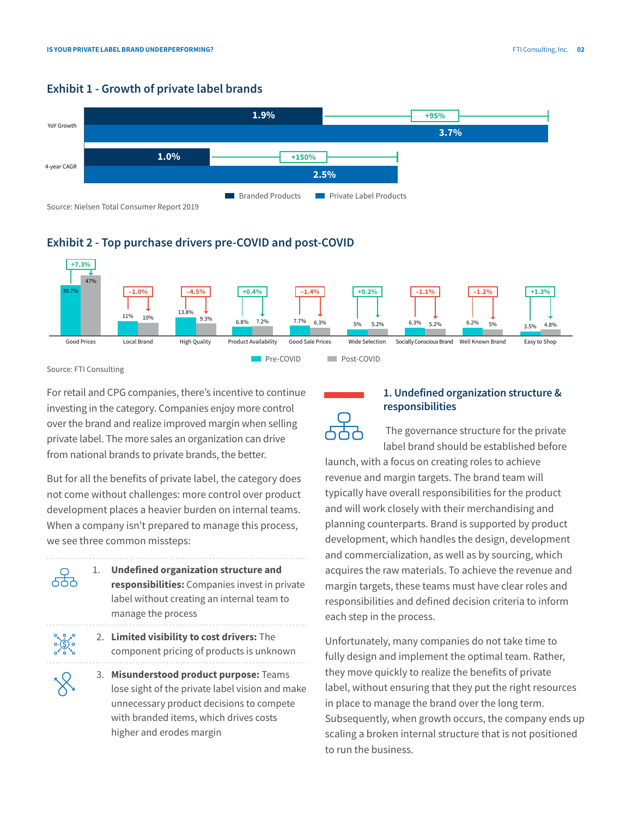## **Exhibit 1 - Growth of private label brands**



# **Exhibit 2 - Top purchase drivers pre-COVID and post-COVID**



Source: FTI Consulting

 $\sim$ 

For retail and CPG companies, there's incentive to continue investing in the category. Companies enjoy more control over the brand and realize improved margin when selling private label. The more sales an organization can drive from national brands to private brands, the better.

But for all the benefits of private label, the category does not come without challenges: more control over product development places a heavier burden on internal teams. When a company isn't prepared to manage this process, we see three common missteps:

| 1. | <b>Undefined organization structure and</b><br>responsibilities: Companies invest in private<br>label without creating an internal team to<br>manage the process                 |
|----|----------------------------------------------------------------------------------------------------------------------------------------------------------------------------------|
|    | 2. Limited visibility to cost drivers: The<br>component pricing of products is unknown                                                                                           |
|    | 3. Misunderstood product purpose: Teams<br>lose sight of the private label vision and make<br>unnecessary product decisions to compete<br>with branded items, which drives costs |

higher and erodes margin

# **1. Undefined organization structure & responsibilities**

 The governance structure for the private label brand should be established before

launch, with a focus on creating roles to achieve revenue and margin targets. The brand team will typically have overall responsibilities for the product and will work closely with their merchandising and planning counterparts. Brand is supported by product development, which handles the design, development and commercialization, as well as by sourcing, which acquires the raw materials. To achieve the revenue and margin targets, these teams must have clear roles and responsibilities and defined decision criteria to inform each step in the process.

Unfortunately, many companies do not take time to fully design and implement the optimal team. Rather, they move quickly to realize the benefits of private label, without ensuring that they put the right resources in place to manage the brand over the long term. Subsequently, when growth occurs, the company ends up scaling a broken internal structure that is not positioned to run the business.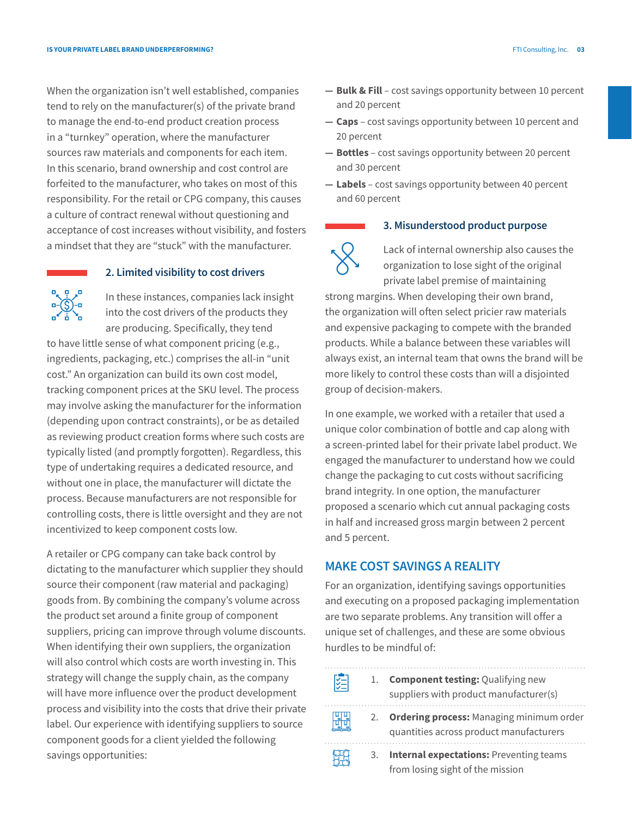When the organization isn't well established, companies tend to rely on the manufacturer(s) of the private brand to manage the end-to-end product creation process in a "turnkey" operation, where the manufacturer sources raw materials and components for each item. In this scenario, brand ownership and cost control are forfeited to the manufacturer, who takes on most of this responsibility. For the retail or CPG company, this causes a culture of contract renewal without questioning and acceptance of cost increases without visibility, and fosters a mindset that they are "stuck" with the manufacturer.



### **2. Limited visibility to cost drivers**

In these instances, companies lack insight into the cost drivers of the products they are producing. Specifically, they tend

to have little sense of what component pricing (e.g., ingredients, packaging, etc.) comprises the all-in "unit cost." An organization can build its own cost model, tracking component prices at the SKU level. The process may involve asking the manufacturer for the information (depending upon contract constraints), or be as detailed as reviewing product creation forms where such costs are typically listed (and promptly forgotten). Regardless, this type of undertaking requires a dedicated resource, and without one in place, the manufacturer will dictate the process. Because manufacturers are not responsible for controlling costs, there is little oversight and they are not incentivized to keep component costs low.

A retailer or CPG company can take back control by dictating to the manufacturer which supplier they should source their component (raw material and packaging) goods from. By combining the company's volume across the product set around a finite group of component suppliers, pricing can improve through volume discounts. When identifying their own suppliers, the organization will also control which costs are worth investing in. This strategy will change the supply chain, as the company will have more influence over the product development process and visibility into the costs that drive their private label. Our experience with identifying suppliers to source component goods for a client yielded the following savings opportunities:

- **— Bulk & Fill**  cost savings opportunity between 10 percent and 20 percent
- **— Caps** cost savings opportunity between 10 percent and 20 percent
- **— Bottles** cost savings opportunity between 20 percent and 30 percent
- **— Labels** cost savings opportunity between 40 percent and 60 percent

#### **3. Misunderstood product purpose**



Lack of internal ownership also causes the organization to lose sight of the original private label premise of maintaining

strong margins. When developing their own brand, the organization will often select pricier raw materials and expensive packaging to compete with the branded products. While a balance between these variables will always exist, an internal team that owns the brand will be more likely to control these costs than will a disjointed group of decision-makers.

In one example, we worked with a retailer that used a unique color combination of bottle and cap along with a screen-printed label for their private label product. We engaged the manufacturer to understand how we could change the packaging to cut costs without sacrificing brand integrity. In one option, the manufacturer proposed a scenario which cut annual packaging costs in half and increased gross margin between 2 percent and 5 percent.

### **MAKE COST SAVINGS A REALITY**

For an organization, identifying savings opportunities and executing on a proposed packaging implementation are two separate problems. Any transition will offer a unique set of challenges, and these are some obvious hurdles to be mindful of:

图 . . . . . . .

喌

1. **Component testing:** Qualifying new suppliers with product manufacturer(s) 

- 2. **Ordering process:** Managing minimum order quantities across product manufacturers
	- 3. **Internal expectations:** Preventing teams from losing sight of the mission